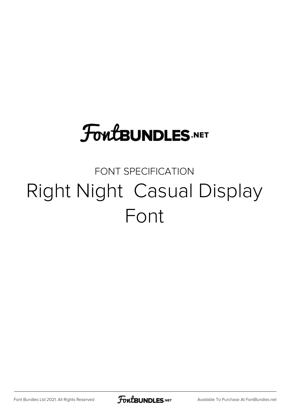# **FoutBUNDLES.NET**

### FONT SPECIFICATION Right Night Casual Display Font

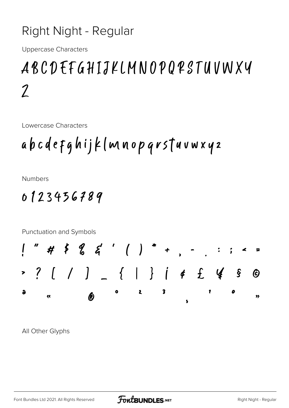#### Right Night - Regular

**Uppercase Characters** 

## ABCDEFGHIJKLMNOPQPSTUVWXY  $\mathcal I$

Lowercase Characters

**Numbers** 

### 0123436789



All Other Glyphs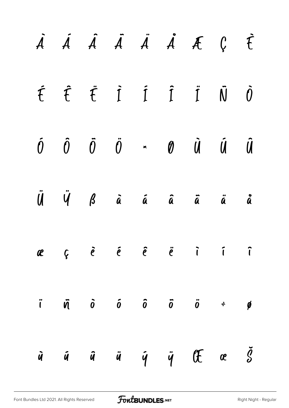|  |  |  | $\dot{A}$ $\dot{A}$ $\dot{A}$ $\ddot{A}$ $\dot{A}$ $\dot{A}$ $\dot{C}$ $\dot{C}$                                                                                                                                                        |  |
|--|--|--|-----------------------------------------------------------------------------------------------------------------------------------------------------------------------------------------------------------------------------------------|--|
|  |  |  | $\begin{array}{cccccccccccccc} \hat{\mathsf{t}} & \hat{\mathsf{t}} & \hat{\mathsf{t}} & \hat{\mathsf{t}} & \hat{\mathsf{1}} & \hat{\mathsf{1}} & \hat{\mathsf{1}} & \hat{\mathsf{1}} & \hat{\mathsf{0}} & \hat{\mathsf{0}} \end{array}$ |  |
|  |  |  | $\begin{matrix} \hat{0} & \hat{0} & \hat{0} & \hat{0} & \star & \theta & \hat{0} & \hat{0} & \hat{0} \end{matrix}$                                                                                                                      |  |
|  |  |  | $\ddot{\mathbf{U}}$ $\ddot{\mathbf{V}}$ $\dot{\mathbf{B}}$ $\ddot{\mathbf{a}}$ $\ddot{\mathbf{a}}$ $\ddot{\mathbf{a}}$ $\ddot{\mathbf{a}}$ $\ddot{\mathbf{a}}$ $\ddot{\mathbf{a}}$ $\ddot{\mathbf{a}}$                                  |  |
|  |  |  | ae çë e e ë i i î                                                                                                                                                                                                                       |  |
|  |  |  | $\ddot{i}$ $\ddot{\theta}$ $\ddot{\theta}$ $\ddot{\theta}$ $\ddot{\theta}$ $\ddot{\theta}$ $\ddot{\theta}$                                                                                                                              |  |
|  |  |  | $\dot{y}$ $\dot{y}$ $\ddot{y}$ $\ddot{y}$ $\ddot{y}$ $\ddot{y}$ $\ddot{y}$ $\ddot{y}$                                                                                                                                                   |  |